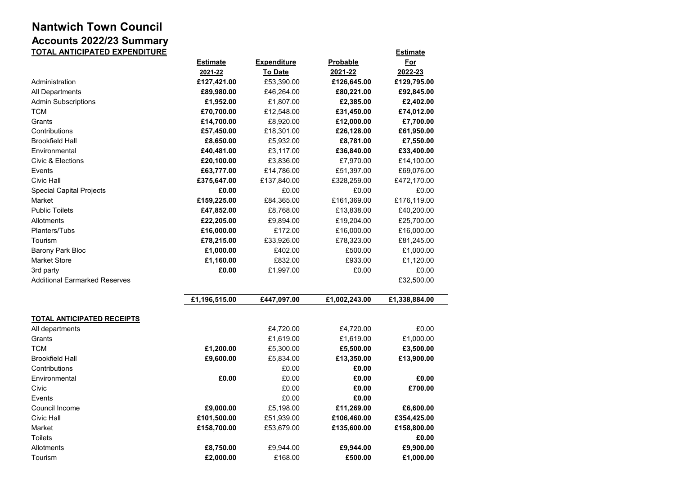## **Nantwich Town Council Accounts 2022/23 Summary TOTAL ANTICIPATED EXPENDITURE Estimate**

|                                      | <b>Estimate</b>        | <b>Expenditure</b>    | <b>Probable</b><br>2021-22 | <u>For</u>             |
|--------------------------------------|------------------------|-----------------------|----------------------------|------------------------|
|                                      | 2021-22<br>£127,421.00 | To Date<br>£53,390.00 | £126,645.00                | 2022-23<br>£129,795.00 |
| Administration                       |                        |                       | £80,221.00                 |                        |
| All Departments                      | £89,980.00             | £46,264.00            |                            | £92,845.00             |
| <b>Admin Subscriptions</b>           | £1,952.00              | £1,807.00             | £2,385.00                  | £2,402.00              |
| TCM                                  | £70,700.00             | £12,548.00            | £31,450.00                 | £74,012.00             |
| Grants<br>Contributions              | £14,700.00             | £8,920.00             | £12,000.00                 | £7,700.00              |
|                                      | £57,450.00             | £18,301.00            | £26,128.00                 | £61,950.00             |
| <b>Brookfield Hall</b>               | £8,650.00              | £5,932.00             | £8,781.00                  | £7,550.00              |
| Environmental                        | £40,481.00             | £3,117.00             | £36,840.00                 | £33,400.00             |
| Civic & Elections                    | £20,100.00             | £3,836.00             | £7,970.00                  | £14,100.00             |
| Events                               | £63,777.00             | £14,786.00            | £51,397.00                 | £69,076.00             |
| Civic Hall                           | £375,647.00            | £137,840.00           | £328,259.00                | £472,170.00            |
| <b>Special Capital Projects</b>      | £0.00                  | £0.00                 | £0.00                      | £0.00                  |
| Market                               | £159,225.00            | £84,365.00            | £161,369.00                | £176,119.00            |
| <b>Public Toilets</b>                | £47,852.00             | £8,768.00             | £13,838.00                 | £40,200.00             |
| Allotments                           | £22,205.00             | £9,894.00             | £19,204.00                 | £25,700.00             |
| Planters/Tubs                        | £16,000.00             | £172.00               | £16,000.00                 | £16,000.00             |
| Tourism                              | £78,215.00             | £33,926.00            | £78,323.00                 | £81,245.00             |
| <b>Barony Park Bloc</b>              | £1,000.00              | £402.00               | £500.00                    | £1,000.00              |
| <b>Market Store</b>                  | £1,160.00              | £832.00               | £933.00                    | £1,120.00              |
| 3rd party                            | £0.00                  | £1,997.00             | £0.00                      | £0.00                  |
| <b>Additional Earmarked Reserves</b> |                        |                       |                            | £32,500.00             |
|                                      | £1,196,515.00          | £447,097.00           | £1,002,243.00              | £1,338,884.00          |
| <b>TOTAL ANTICIPATED RECEIPTS</b>    |                        |                       |                            |                        |
| All departments                      |                        | £4,720.00             | £4,720.00                  | £0.00                  |
| Grants                               |                        | £1,619.00             | £1,619.00                  | £1,000.00              |
| TCM                                  | £1,200.00              | £5,300.00             | £5,500.00                  | £3,500.00              |
| <b>Brookfield Hall</b>               | £9,600.00              | £5,834.00             | £13,350.00                 | £13,900.00             |
| Contributions                        |                        | £0.00                 | £0.00                      |                        |
| Environmental                        | £0.00                  | £0.00                 | £0.00                      | £0.00                  |
| Civic                                |                        | £0.00                 | £0.00                      | £700.00                |
| Events                               |                        | £0.00                 | £0.00                      |                        |
| Council Income                       | £9,000.00              | £5,198.00             | £11,269.00                 | £6,600.00              |
| Civic Hall                           | £101,500.00            | £51,939.00            | £106,460.00                | £354,425.00            |
| Market                               | £158,700.00            | £53,679.00            | £135,600.00                | £158,800.00            |
| <b>Toilets</b>                       |                        |                       |                            | £0.00                  |
| Allotments                           | £8,750.00              | £9,944.00             |                            | £9,900.00              |
| Tourism                              | £2,000.00              | £168.00               | £9,944.00<br>£500.00       | £1,000.00              |
|                                      |                        |                       |                            |                        |